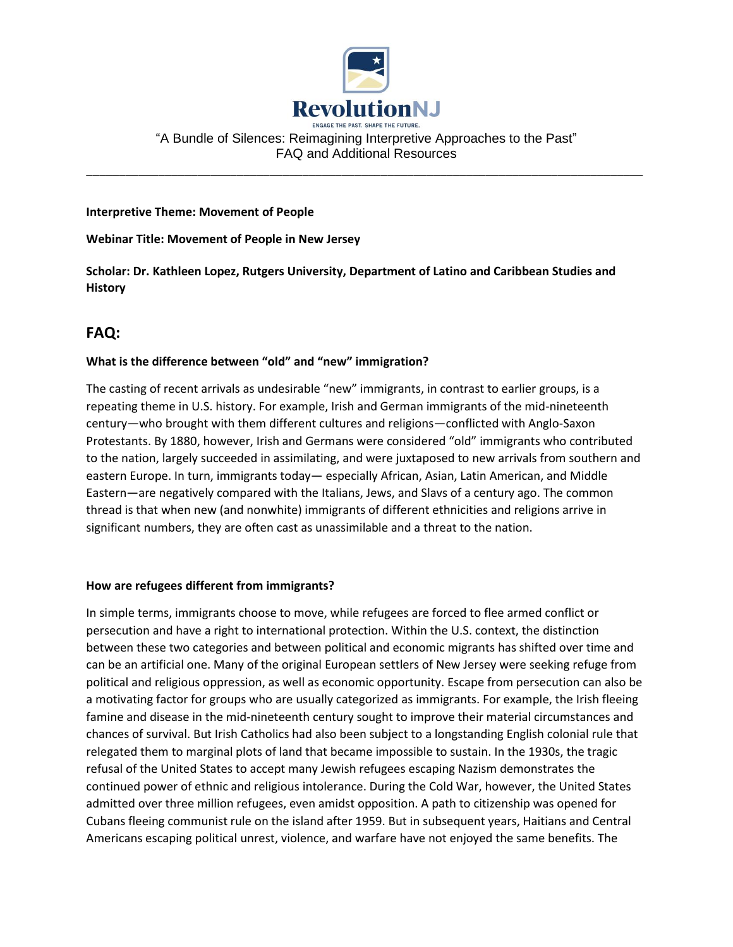

## "A Bundle of Silences: Reimagining Interpretive Approaches to the Past" FAQ and Additional Resources

\_\_\_\_\_\_\_\_\_\_\_\_\_\_\_\_\_\_\_\_\_\_\_\_\_\_\_\_\_\_\_\_\_\_\_\_\_\_\_\_\_\_\_\_\_\_\_\_\_\_\_\_\_\_\_\_\_\_\_\_\_\_\_\_\_\_\_\_\_\_\_\_\_\_\_\_\_\_\_\_\_\_\_\_\_

#### **Interpretive Theme: Movement of People**

**Webinar Title: Movement of People in New Jersey**

**Scholar: Dr. Kathleen Lopez, Rutgers University, Department of Latino and Caribbean Studies and History**

# **FAQ:**

### **What is the difference between "old" and "new" immigration?**

The casting of recent arrivals as undesirable "new" immigrants, in contrast to earlier groups, is a repeating theme in U.S. history. For example, Irish and German immigrants of the mid-nineteenth century—who brought with them different cultures and religions—conflicted with Anglo-Saxon Protestants. By 1880, however, Irish and Germans were considered "old" immigrants who contributed to the nation, largely succeeded in assimilating, and were juxtaposed to new arrivals from southern and eastern Europe. In turn, immigrants today— especially African, Asian, Latin American, and Middle Eastern—are negatively compared with the Italians, Jews, and Slavs of a century ago. The common thread is that when new (and nonwhite) immigrants of different ethnicities and religions arrive in significant numbers, they are often cast as unassimilable and a threat to the nation.

### **How are refugees different from immigrants?**

In simple terms, immigrants choose to move, while refugees are forced to flee armed conflict or persecution and have a right to international protection. Within the U.S. context, the distinction between these two categories and between political and economic migrants has shifted over time and can be an artificial one. Many of the original European settlers of New Jersey were seeking refuge from political and religious oppression, as well as economic opportunity. Escape from persecution can also be a motivating factor for groups who are usually categorized as immigrants. For example, the Irish fleeing famine and disease in the mid-nineteenth century sought to improve their material circumstances and chances of survival. But Irish Catholics had also been subject to a longstanding English colonial rule that relegated them to marginal plots of land that became impossible to sustain. In the 1930s, the tragic refusal of the United States to accept many Jewish refugees escaping Nazism demonstrates the continued power of ethnic and religious intolerance. During the Cold War, however, the United States admitted over three million refugees, even amidst opposition. A path to citizenship was opened for Cubans fleeing communist rule on the island after 1959. But in subsequent years, Haitians and Central Americans escaping political unrest, violence, and warfare have not enjoyed the same benefits. The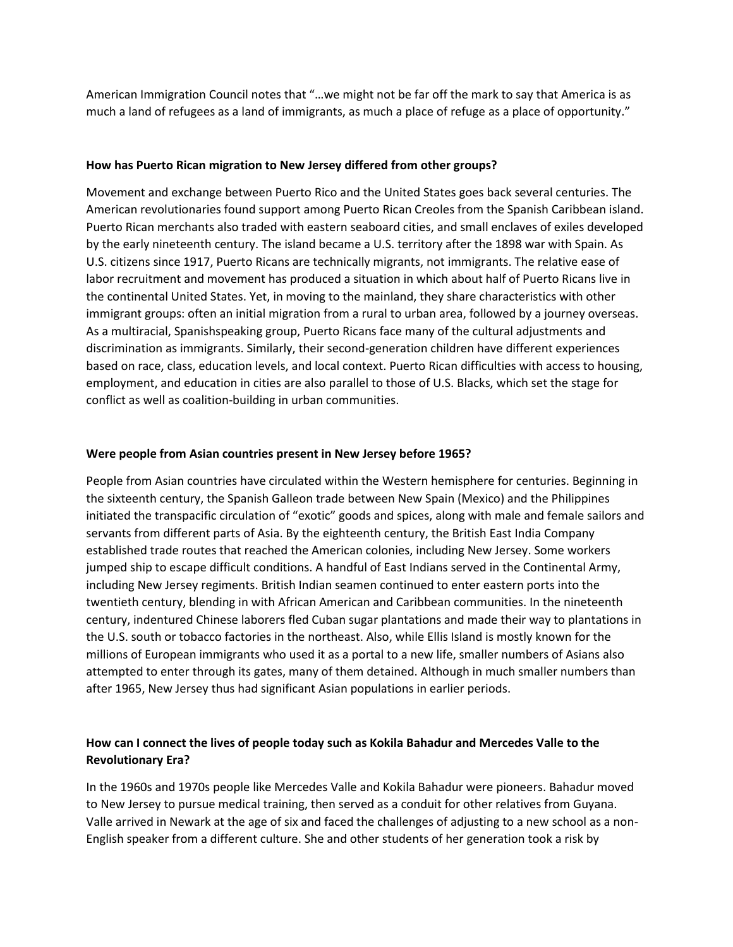American Immigration Council notes that "…we might not be far off the mark to say that America is as much a land of refugees as a land of immigrants, as much a place of refuge as a place of opportunity."

### **How has Puerto Rican migration to New Jersey differed from other groups?**

Movement and exchange between Puerto Rico and the United States goes back several centuries. The American revolutionaries found support among Puerto Rican Creoles from the Spanish Caribbean island. Puerto Rican merchants also traded with eastern seaboard cities, and small enclaves of exiles developed by the early nineteenth century. The island became a U.S. territory after the 1898 war with Spain. As U.S. citizens since 1917, Puerto Ricans are technically migrants, not immigrants. The relative ease of labor recruitment and movement has produced a situation in which about half of Puerto Ricans live in the continental United States. Yet, in moving to the mainland, they share characteristics with other immigrant groups: often an initial migration from a rural to urban area, followed by a journey overseas. As a multiracial, Spanishspeaking group, Puerto Ricans face many of the cultural adjustments and discrimination as immigrants. Similarly, their second-generation children have different experiences based on race, class, education levels, and local context. Puerto Rican difficulties with access to housing, employment, and education in cities are also parallel to those of U.S. Blacks, which set the stage for conflict as well as coalition-building in urban communities.

### **Were people from Asian countries present in New Jersey before 1965?**

People from Asian countries have circulated within the Western hemisphere for centuries. Beginning in the sixteenth century, the Spanish Galleon trade between New Spain (Mexico) and the Philippines initiated the transpacific circulation of "exotic" goods and spices, along with male and female sailors and servants from different parts of Asia. By the eighteenth century, the British East India Company established trade routes that reached the American colonies, including New Jersey. Some workers jumped ship to escape difficult conditions. A handful of East Indians served in the Continental Army, including New Jersey regiments. British Indian seamen continued to enter eastern ports into the twentieth century, blending in with African American and Caribbean communities. In the nineteenth century, indentured Chinese laborers fled Cuban sugar plantations and made their way to plantations in the U.S. south or tobacco factories in the northeast. Also, while Ellis Island is mostly known for the millions of European immigrants who used it as a portal to a new life, smaller numbers of Asians also attempted to enter through its gates, many of them detained. Although in much smaller numbers than after 1965, New Jersey thus had significant Asian populations in earlier periods.

## **How can I connect the lives of people today such as Kokila Bahadur and Mercedes Valle to the Revolutionary Era?**

In the 1960s and 1970s people like Mercedes Valle and Kokila Bahadur were pioneers. Bahadur moved to New Jersey to pursue medical training, then served as a conduit for other relatives from Guyana. Valle arrived in Newark at the age of six and faced the challenges of adjusting to a new school as a non-English speaker from a different culture. She and other students of her generation took a risk by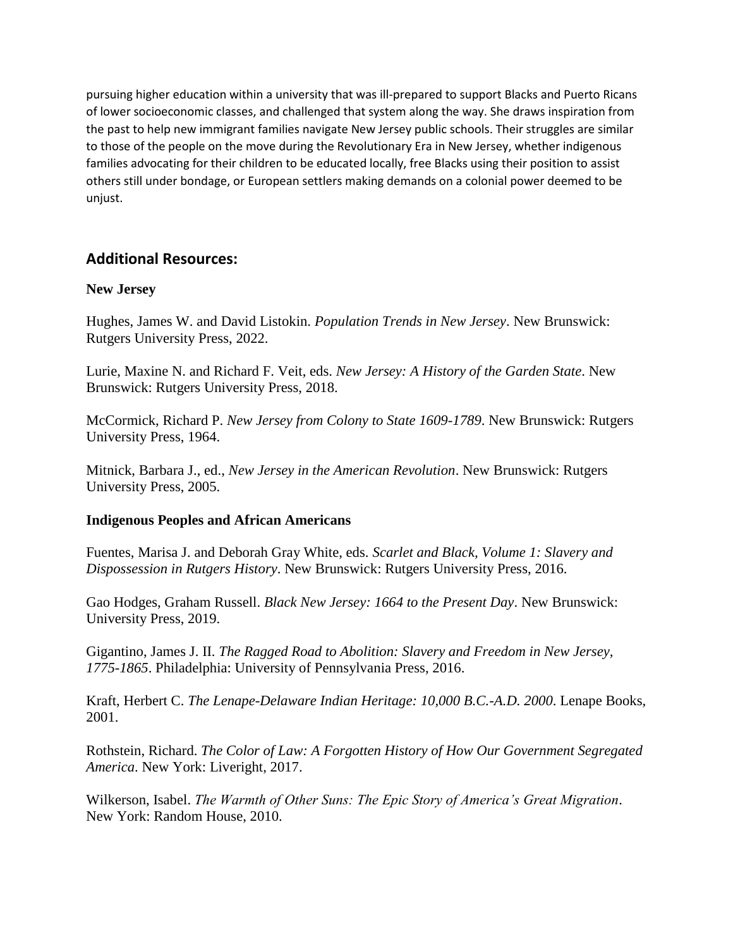pursuing higher education within a university that was ill-prepared to support Blacks and Puerto Ricans of lower socioeconomic classes, and challenged that system along the way. She draws inspiration from the past to help new immigrant families navigate New Jersey public schools. Their struggles are similar to those of the people on the move during the Revolutionary Era in New Jersey, whether indigenous families advocating for their children to be educated locally, free Blacks using their position to assist others still under bondage, or European settlers making demands on a colonial power deemed to be unjust.

# **Additional Resources:**

# **New Jersey**

Hughes, James W. and David Listokin. *Population Trends in New Jersey*. New Brunswick: Rutgers University Press, 2022.

Lurie, Maxine N. and Richard F. Veit, eds. *New Jersey: A History of the Garden State*. New Brunswick: Rutgers University Press, 2018.

McCormick, Richard P. *New Jersey from Colony to State 1609-1789*. New Brunswick: Rutgers University Press, 1964.

Mitnick, Barbara J., ed., *New Jersey in the American Revolution*. New Brunswick: Rutgers University Press, 2005.

## **Indigenous Peoples and African Americans**

Fuentes, Marisa J. and Deborah Gray White, eds. *Scarlet and Black, Volume 1: Slavery and Dispossession in Rutgers History*. New Brunswick: Rutgers University Press, 2016.

Gao Hodges, Graham Russell. *Black New Jersey: 1664 to the Present Day*. New Brunswick: University Press, 2019.

Gigantino, James J. II. *The Ragged Road to Abolition: Slavery and Freedom in New Jersey, 1775-1865*. Philadelphia: University of Pennsylvania Press, 2016.

Kraft, Herbert C. *The Lenape-Delaware Indian Heritage: 10,000 B.C.-A.D. 2000*. Lenape Books, 2001.

Rothstein, Richard. *The Color of Law: A Forgotten History of How Our Government Segregated America*. New York: Liveright, 2017.

Wilkerson, Isabel. *The Warmth of Other Suns: The Epic Story of America's Great Migration*. New York: Random House, 2010.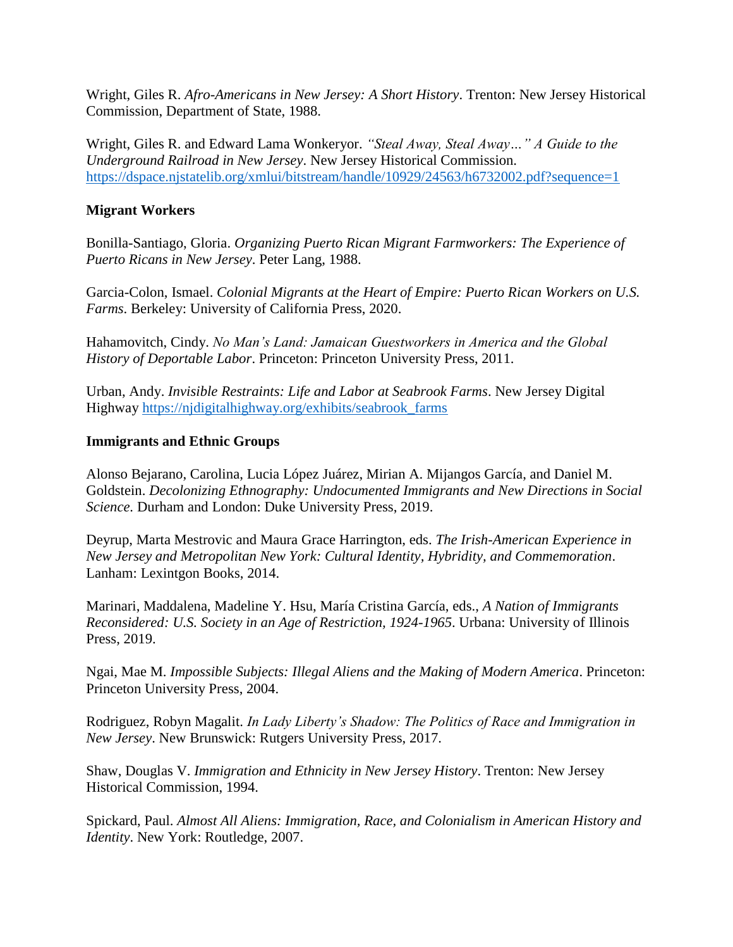Wright, Giles R. *Afro-Americans in New Jersey: A Short History*. Trenton: New Jersey Historical Commission, Department of State, 1988.

Wright, Giles R. and Edward Lama Wonkeryor. *"Steal Away, Steal Away…" A Guide to the Underground Railroad in New Jersey*. New Jersey Historical Commission. <https://dspace.njstatelib.org/xmlui/bitstream/handle/10929/24563/h6732002.pdf?sequence=1>

# **Migrant Workers**

Bonilla-Santiago, Gloria. *Organizing Puerto Rican Migrant Farmworkers: The Experience of Puerto Ricans in New Jersey*. Peter Lang, 1988.

Garcia-Colon, Ismael. *Colonial Migrants at the Heart of Empire: Puerto Rican Workers on U.S. Farms*. Berkeley: University of California Press, 2020.

Hahamovitch, Cindy. *No Man's Land: Jamaican Guestworkers in America and the Global History of Deportable Labor*. Princeton: Princeton University Press, 2011.

Urban, Andy. *Invisible Restraints: Life and Labor at Seabrook Farms*. New Jersey Digital Highway [https://njdigitalhighway.org/exhibits/seabrook\\_farms](https://njdigitalhighway.org/exhibits/seabrook_farms)

## **Immigrants and Ethnic Groups**

Alonso Bejarano, Carolina, Lucia López Juárez, Mirian A. Mijangos García, and Daniel M. Goldstein. *Decolonizing Ethnography: Undocumented Immigrants and New Directions in Social Science*. Durham and London: Duke University Press, 2019.

Deyrup, Marta Mestrovic and Maura Grace Harrington, eds. *The Irish-American Experience in New Jersey and Metropolitan New York: Cultural Identity, Hybridity, and Commemoration*. Lanham: Lexintgon Books, 2014.

Marinari, Maddalena, Madeline Y. Hsu, María Cristina García, eds., *A Nation of Immigrants Reconsidered: U.S. Society in an Age of Restriction, 1924-1965*. Urbana: University of Illinois Press, 2019.

Ngai, Mae M. *Impossible Subjects: Illegal Aliens and the Making of Modern America*. Princeton: Princeton University Press, 2004.

Rodriguez, Robyn Magalit. *In Lady Liberty's Shadow: The Politics of Race and Immigration in New Jersey*. New Brunswick: Rutgers University Press, 2017.

Shaw, Douglas V. *Immigration and Ethnicity in New Jersey History*. Trenton: New Jersey Historical Commission, 1994.

Spickard, Paul. *Almost All Aliens: Immigration, Race, and Colonialism in American History and Identity*. New York: Routledge, 2007.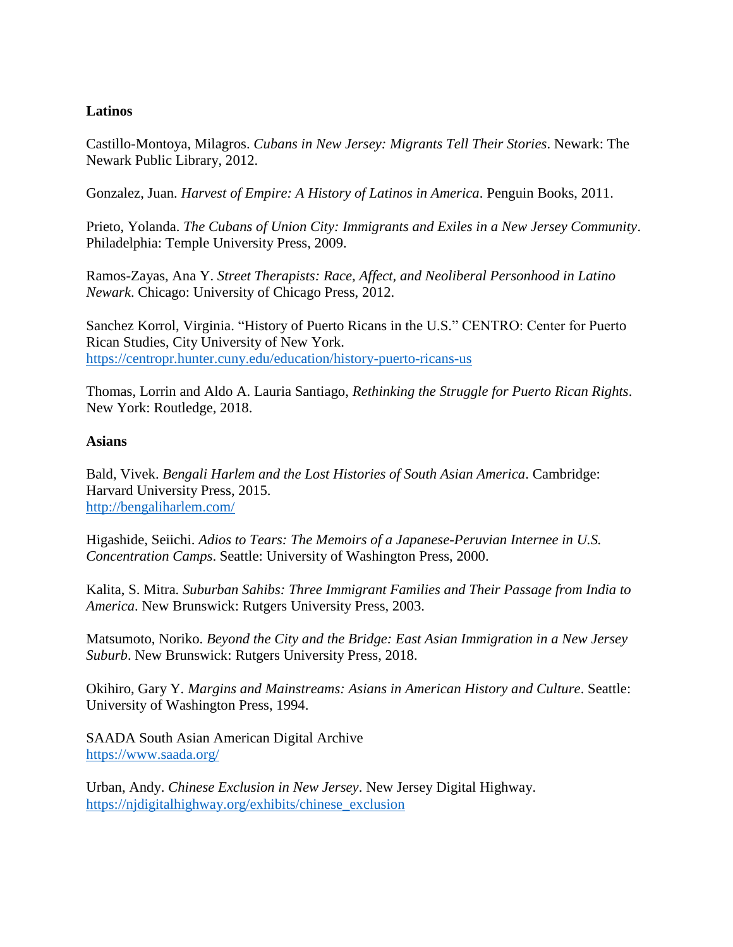# **Latinos**

Castillo-Montoya, Milagros. *Cubans in New Jersey: Migrants Tell Their Stories*. Newark: The Newark Public Library, 2012.

Gonzalez, Juan. *Harvest of Empire: A History of Latinos in America*. Penguin Books, 2011.

Prieto, Yolanda. *The Cubans of Union City: Immigrants and Exiles in a New Jersey Community*. Philadelphia: Temple University Press, 2009.

Ramos-Zayas, Ana Y. *Street Therapists: Race, Affect, and Neoliberal Personhood in Latino Newark*. Chicago: University of Chicago Press, 2012.

Sanchez Korrol, Virginia. "History of Puerto Ricans in the U.S." CENTRO: Center for Puerto Rican Studies, City University of New York. <https://centropr.hunter.cuny.edu/education/history-puerto-ricans-us>

Thomas, Lorrin and Aldo A. Lauria Santiago, *Rethinking the Struggle for Puerto Rican Rights*. New York: Routledge, 2018.

## **Asians**

Bald, Vivek. *Bengali Harlem and the Lost Histories of South Asian America*. Cambridge: Harvard University Press, 2015. <http://bengaliharlem.com/>

Higashide, Seiichi. *Adios to Tears: The Memoirs of a Japanese-Peruvian Internee in U.S. Concentration Camps*. Seattle: University of Washington Press, 2000.

Kalita, S. Mitra. *Suburban Sahibs: Three Immigrant Families and Their Passage from India to America*. New Brunswick: Rutgers University Press, 2003.

Matsumoto, Noriko. *Beyond the City and the Bridge: East Asian Immigration in a New Jersey Suburb*. New Brunswick: Rutgers University Press, 2018.

Okihiro, Gary Y. *Margins and Mainstreams: Asians in American History and Culture*. Seattle: University of Washington Press, 1994.

SAADA South Asian American Digital Archive <https://www.saada.org/>

Urban, Andy. *Chinese Exclusion in New Jersey*. New Jersey Digital Highway. [https://njdigitalhighway.org/exhibits/chinese\\_exclusion](https://njdigitalhighway.org/exhibits/chinese_exclusion)